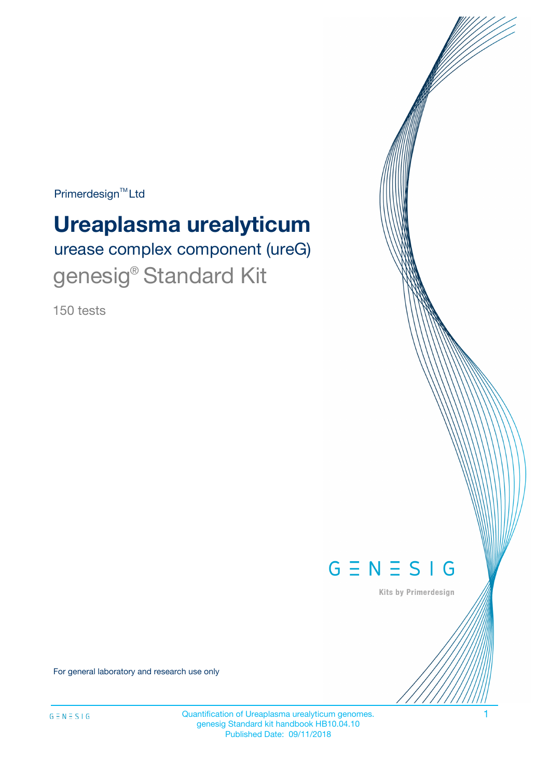Primerdesign<sup>™</sup>Ltd

# **Ureaplasma urealyticum**

urease complex component (ureG) genesig<sup>®</sup> Standard Kit

150 tests



Kits by Primerdesign

For general laboratory and research use only

Quantification of Ureaplasma urealyticum genomes. 1 genesig Standard kit handbook HB10.04.10 Published Date: 09/11/2018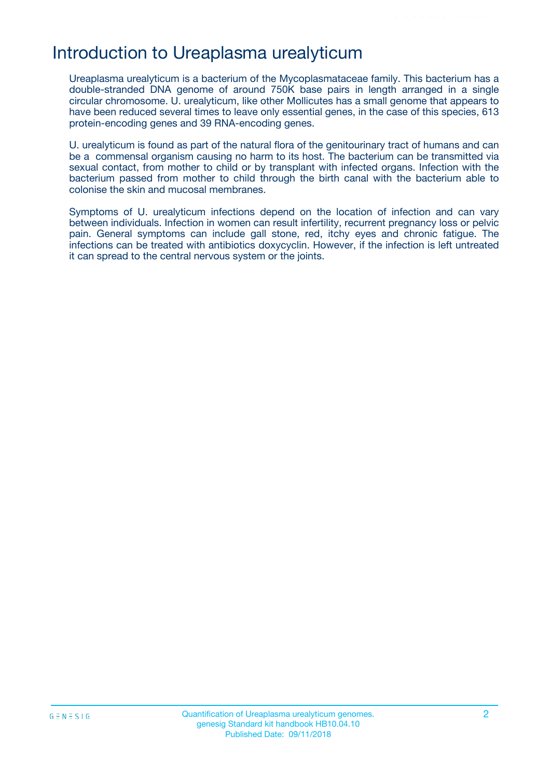## Introduction to Ureaplasma urealyticum

Ureaplasma urealyticum is a bacterium of the Mycoplasmataceae family. This bacterium has a double-stranded DNA genome of around 750K base pairs in length arranged in a single circular chromosome. U. urealyticum, like other Mollicutes has a small genome that appears to have been reduced several times to leave only essential genes, in the case of this species, 613 protein-encoding genes and 39 RNA-encoding genes.

U. urealyticum is found as part of the natural flora of the genitourinary tract of humans and can be a commensal organism causing no harm to its host. The bacterium can be transmitted via sexual contact, from mother to child or by transplant with infected organs. Infection with the bacterium passed from mother to child through the birth canal with the bacterium able to colonise the skin and mucosal membranes.

Symptoms of U. urealyticum infections depend on the location of infection and can vary between individuals. Infection in women can result infertility, recurrent pregnancy loss or pelvic pain. General symptoms can include gall stone, red, itchy eyes and chronic fatigue. The infections can be treated with antibiotics doxycyclin. However, if the infection is left untreated it can spread to the central nervous system or the joints.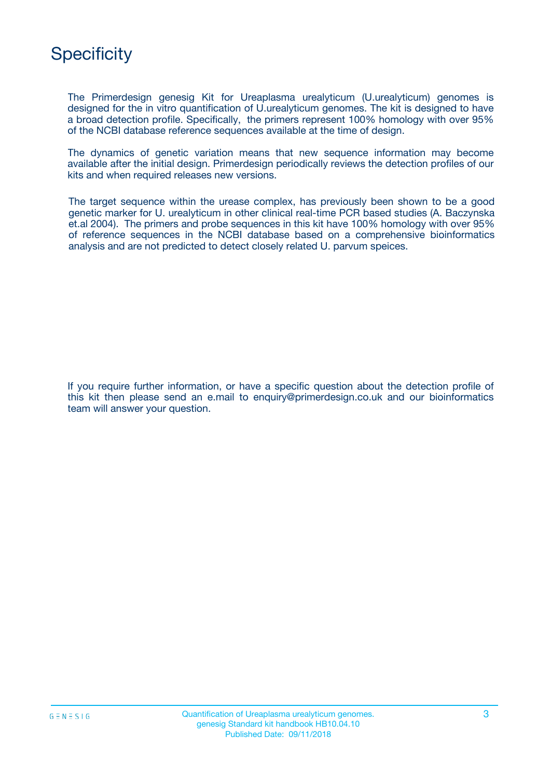

The Primerdesign genesig Kit for Ureaplasma urealyticum (U.urealyticum) genomes is designed for the in vitro quantification of U.urealyticum genomes. The kit is designed to have a broad detection profile. Specifically, the primers represent 100% homology with over 95% of the NCBI database reference sequences available at the time of design.

The dynamics of genetic variation means that new sequence information may become available after the initial design. Primerdesign periodically reviews the detection profiles of our kits and when required releases new versions.

The target sequence within the urease complex, has previously been shown to be a good genetic marker for U. urealyticum in other clinical real-time PCR based studies (A. Baczynska et.al 2004). The primers and probe sequences in this kit have 100% homology with over 95% of reference sequences in the NCBI database based on a comprehensive bioinformatics analysis and are not predicted to detect closely related U. parvum speices.

If you require further information, or have a specific question about the detection profile of this kit then please send an e.mail to enquiry@primerdesign.co.uk and our bioinformatics team will answer your question.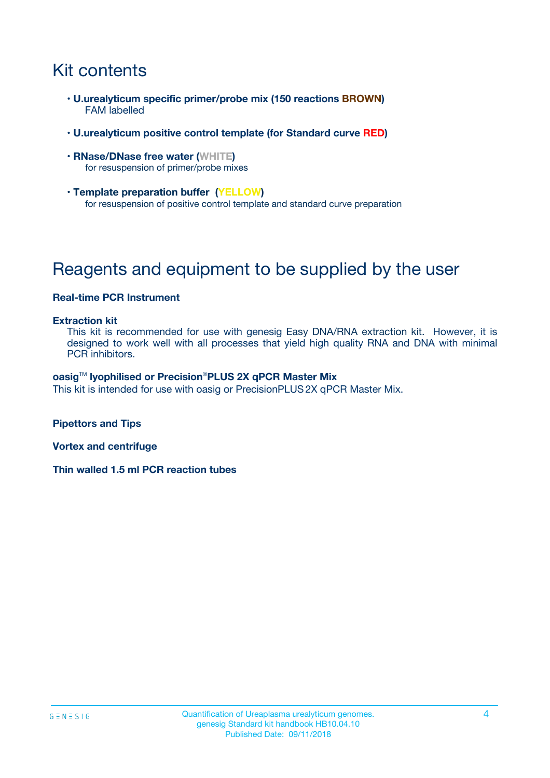# Kit contents

- **U.urealyticum specific primer/probe mix (150 reactions BROWN)** FAM labelled
- **U.urealyticum positive control template (for Standard curve RED)**
- **RNase/DNase free water (WHITE)** for resuspension of primer/probe mixes
- **Template preparation buffer (YELLOW)** for resuspension of positive control template and standard curve preparation

# Reagents and equipment to be supplied by the user

#### **Real-time PCR Instrument**

#### **Extraction kit**

This kit is recommended for use with genesig Easy DNA/RNA extraction kit. However, it is designed to work well with all processes that yield high quality RNA and DNA with minimal PCR inhibitors.

#### **oasig**TM **lyophilised or Precision**®**PLUS 2X qPCR Master Mix**

This kit is intended for use with oasig or PrecisionPLUS2X qPCR Master Mix.

**Pipettors and Tips**

**Vortex and centrifuge**

**Thin walled 1.5 ml PCR reaction tubes**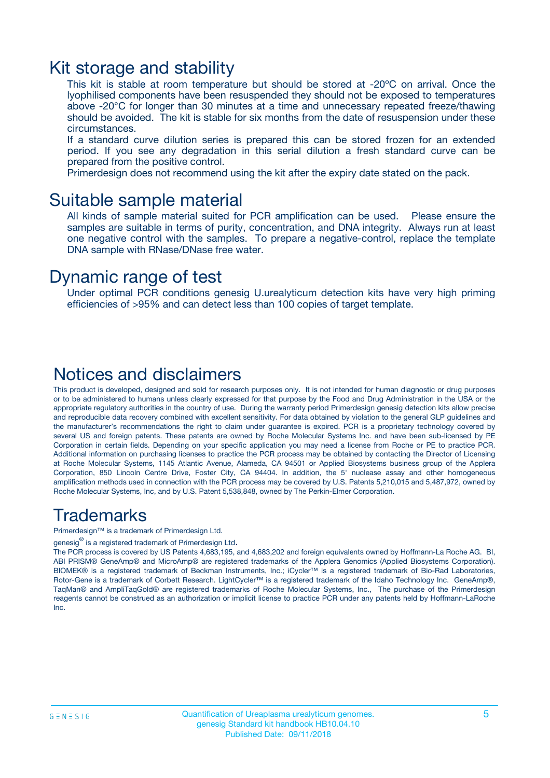### Kit storage and stability

This kit is stable at room temperature but should be stored at -20ºC on arrival. Once the lyophilised components have been resuspended they should not be exposed to temperatures above -20°C for longer than 30 minutes at a time and unnecessary repeated freeze/thawing should be avoided. The kit is stable for six months from the date of resuspension under these circumstances.

If a standard curve dilution series is prepared this can be stored frozen for an extended period. If you see any degradation in this serial dilution a fresh standard curve can be prepared from the positive control.

Primerdesign does not recommend using the kit after the expiry date stated on the pack.

### Suitable sample material

All kinds of sample material suited for PCR amplification can be used. Please ensure the samples are suitable in terms of purity, concentration, and DNA integrity. Always run at least one negative control with the samples. To prepare a negative-control, replace the template DNA sample with RNase/DNase free water.

### Dynamic range of test

Under optimal PCR conditions genesig U.urealyticum detection kits have very high priming efficiencies of >95% and can detect less than 100 copies of target template.

### Notices and disclaimers

This product is developed, designed and sold for research purposes only. It is not intended for human diagnostic or drug purposes or to be administered to humans unless clearly expressed for that purpose by the Food and Drug Administration in the USA or the appropriate regulatory authorities in the country of use. During the warranty period Primerdesign genesig detection kits allow precise and reproducible data recovery combined with excellent sensitivity. For data obtained by violation to the general GLP guidelines and the manufacturer's recommendations the right to claim under guarantee is expired. PCR is a proprietary technology covered by several US and foreign patents. These patents are owned by Roche Molecular Systems Inc. and have been sub-licensed by PE Corporation in certain fields. Depending on your specific application you may need a license from Roche or PE to practice PCR. Additional information on purchasing licenses to practice the PCR process may be obtained by contacting the Director of Licensing at Roche Molecular Systems, 1145 Atlantic Avenue, Alameda, CA 94501 or Applied Biosystems business group of the Applera Corporation, 850 Lincoln Centre Drive, Foster City, CA 94404. In addition, the 5' nuclease assay and other homogeneous amplification methods used in connection with the PCR process may be covered by U.S. Patents 5,210,015 and 5,487,972, owned by Roche Molecular Systems, Inc, and by U.S. Patent 5,538,848, owned by The Perkin-Elmer Corporation.

### Trademarks

Primerdesign™ is a trademark of Primerdesign Ltd.

genesig $^\circledR$  is a registered trademark of Primerdesign Ltd.

The PCR process is covered by US Patents 4,683,195, and 4,683,202 and foreign equivalents owned by Hoffmann-La Roche AG. BI, ABI PRISM® GeneAmp® and MicroAmp® are registered trademarks of the Applera Genomics (Applied Biosystems Corporation). BIOMEK® is a registered trademark of Beckman Instruments, Inc.; iCycler™ is a registered trademark of Bio-Rad Laboratories, Rotor-Gene is a trademark of Corbett Research. LightCycler™ is a registered trademark of the Idaho Technology Inc. GeneAmp®, TaqMan® and AmpliTaqGold® are registered trademarks of Roche Molecular Systems, Inc., The purchase of the Primerdesign reagents cannot be construed as an authorization or implicit license to practice PCR under any patents held by Hoffmann-LaRoche Inc.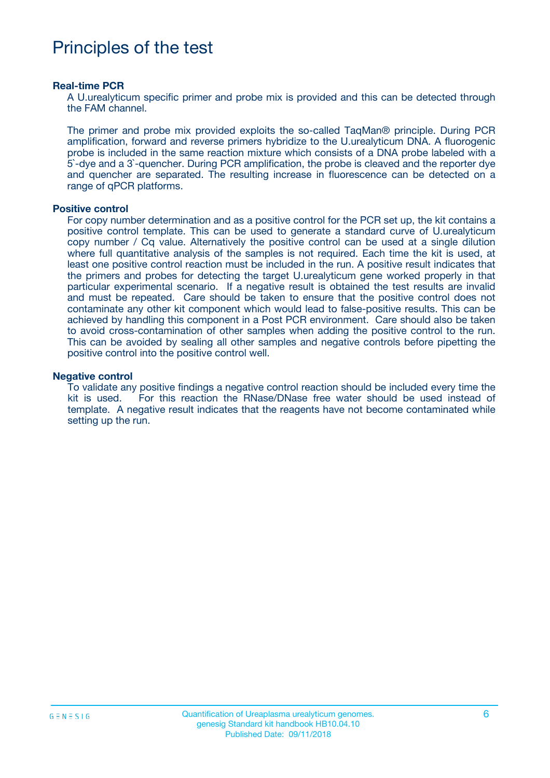## Principles of the test

#### **Real-time PCR**

A U.urealyticum specific primer and probe mix is provided and this can be detected through the FAM channel.

The primer and probe mix provided exploits the so-called TaqMan® principle. During PCR amplification, forward and reverse primers hybridize to the U.urealyticum DNA. A fluorogenic probe is included in the same reaction mixture which consists of a DNA probe labeled with a 5`-dye and a 3`-quencher. During PCR amplification, the probe is cleaved and the reporter dye and quencher are separated. The resulting increase in fluorescence can be detected on a range of qPCR platforms.

#### **Positive control**

For copy number determination and as a positive control for the PCR set up, the kit contains a positive control template. This can be used to generate a standard curve of U.urealyticum copy number / Cq value. Alternatively the positive control can be used at a single dilution where full quantitative analysis of the samples is not required. Each time the kit is used, at least one positive control reaction must be included in the run. A positive result indicates that the primers and probes for detecting the target U.urealyticum gene worked properly in that particular experimental scenario. If a negative result is obtained the test results are invalid and must be repeated. Care should be taken to ensure that the positive control does not contaminate any other kit component which would lead to false-positive results. This can be achieved by handling this component in a Post PCR environment. Care should also be taken to avoid cross-contamination of other samples when adding the positive control to the run. This can be avoided by sealing all other samples and negative controls before pipetting the positive control into the positive control well.

#### **Negative control**

To validate any positive findings a negative control reaction should be included every time the kit is used. For this reaction the RNase/DNase free water should be used instead of template. A negative result indicates that the reagents have not become contaminated while setting up the run.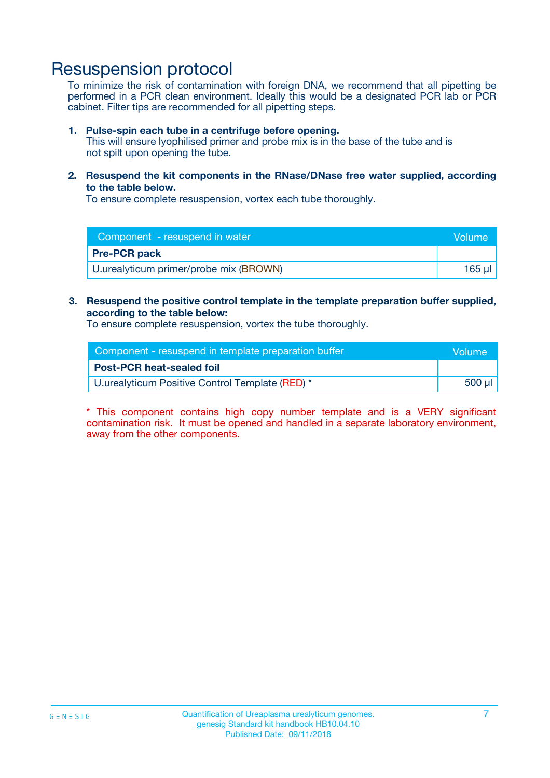### Resuspension protocol

To minimize the risk of contamination with foreign DNA, we recommend that all pipetting be performed in a PCR clean environment. Ideally this would be a designated PCR lab or PCR cabinet. Filter tips are recommended for all pipetting steps.

#### **1. Pulse-spin each tube in a centrifuge before opening.**

This will ensure lyophilised primer and probe mix is in the base of the tube and is not spilt upon opening the tube.

**2. Resuspend the kit components in the RNase/DNase free water supplied, according to the table below.**

To ensure complete resuspension, vortex each tube thoroughly.

| Component - resuspend in water         | Volume |
|----------------------------------------|--------|
| <b>Pre-PCR pack</b>                    |        |
| U.urealyticum primer/probe mix (BROWN) | 165 ul |

#### **3. Resuspend the positive control template in the template preparation buffer supplied, according to the table below:**

To ensure complete resuspension, vortex the tube thoroughly.

| Component - resuspend in template preparation buffer | Volume      |
|------------------------------------------------------|-------------|
| <b>Post-PCR heat-sealed foil</b>                     |             |
| U.urealyticum Positive Control Template (RED) *      | $500$ $\mu$ |

\* This component contains high copy number template and is a VERY significant contamination risk. It must be opened and handled in a separate laboratory environment, away from the other components.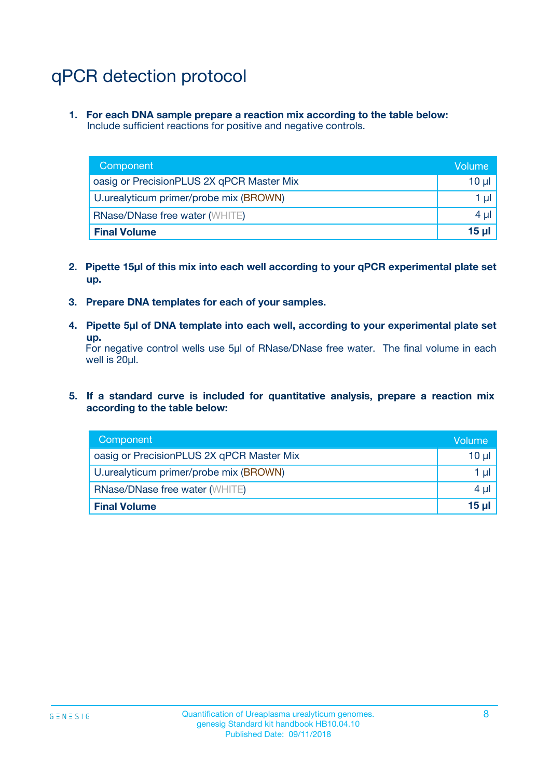# qPCR detection protocol

**1. For each DNA sample prepare a reaction mix according to the table below:** Include sufficient reactions for positive and negative controls.

| Component                                 | Volume   |
|-------------------------------------------|----------|
| oasig or PrecisionPLUS 2X qPCR Master Mix | 10 $\mu$ |
| U.urealyticum primer/probe mix (BROWN)    | 1 $\mu$  |
| <b>RNase/DNase free water (WHITE)</b>     | $4 \mu$  |
| <b>Final Volume</b>                       | $15 \mu$ |

- **2. Pipette 15µl of this mix into each well according to your qPCR experimental plate set up.**
- **3. Prepare DNA templates for each of your samples.**
- **4. Pipette 5µl of DNA template into each well, according to your experimental plate set up.**

For negative control wells use 5µl of RNase/DNase free water. The final volume in each well is 20µl.

**5. If a standard curve is included for quantitative analysis, prepare a reaction mix according to the table below:**

| Component                                 | Volume     |
|-------------------------------------------|------------|
| oasig or PrecisionPLUS 2X qPCR Master Mix | 10 µl      |
| U.urealyticum primer/probe mix (BROWN)    | 1 µI       |
| <b>RNase/DNase free water (WHITE)</b>     | $4 \mu$    |
| <b>Final Volume</b>                       | $15$ $\mu$ |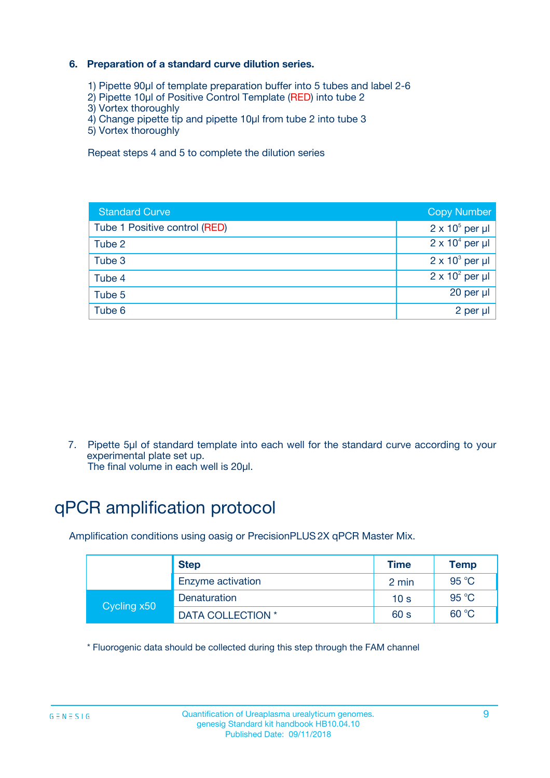#### **6. Preparation of a standard curve dilution series.**

- 1) Pipette 90µl of template preparation buffer into 5 tubes and label 2-6
- 2) Pipette 10µl of Positive Control Template (RED) into tube 2
- 3) Vortex thoroughly
- 4) Change pipette tip and pipette 10µl from tube 2 into tube 3
- 5) Vortex thoroughly

Repeat steps 4 and 5 to complete the dilution series

| <b>Standard Curve</b>         | <b>Copy Number</b>     |
|-------------------------------|------------------------|
| Tube 1 Positive control (RED) | $2 \times 10^5$ per µl |
| Tube 2                        | $2 \times 10^4$ per µl |
| Tube 3                        | $2 \times 10^3$ per µl |
| Tube 4                        | $2 \times 10^2$ per µl |
| Tube 5                        | 20 per µl              |
| Tube 6                        | $2$ per $\mu$          |

7. Pipette 5µl of standard template into each well for the standard curve according to your experimental plate set up.

#### The final volume in each well is 20µl.

## qPCR amplification protocol

Amplification conditions using oasig or PrecisionPLUS2X qPCR Master Mix.

|             | <b>Step</b>       | <b>Time</b>     | Temp           |
|-------------|-------------------|-----------------|----------------|
|             | Enzyme activation | 2 min           | $95^{\circ}$ C |
| Cycling x50 | Denaturation      | 10 <sub>s</sub> | 95 $°C$        |
|             | DATA COLLECTION * | 60 s            | 60 °C          |

\* Fluorogenic data should be collected during this step through the FAM channel